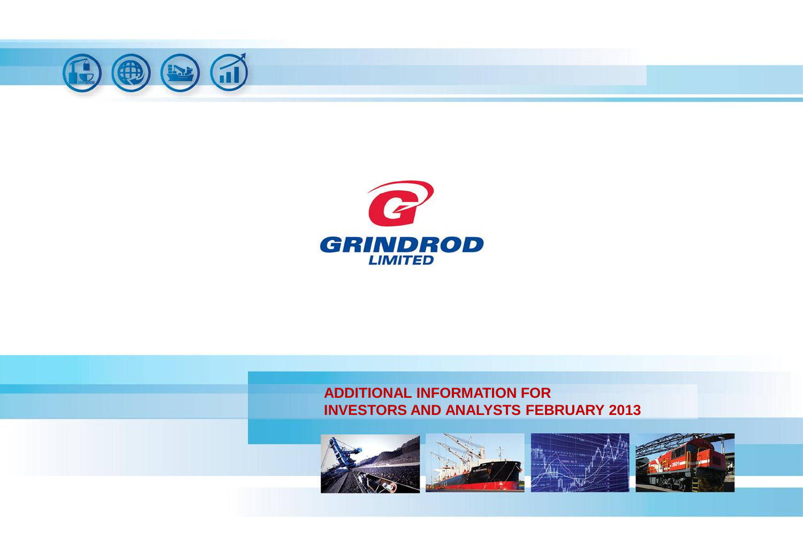





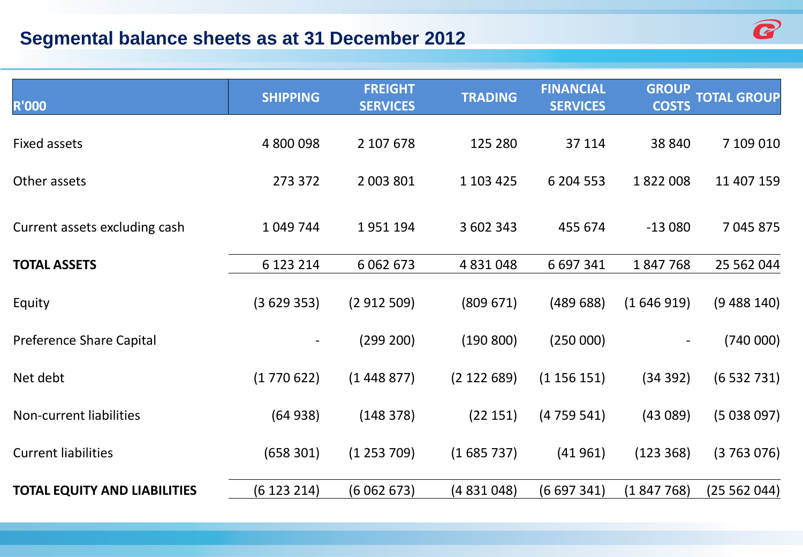## **Segmental balance sheets as at 31 December 2012**



| <b>R'000</b>                        | <b>SHIPPING</b> | <b>FREIGHT</b><br><b>SERVICES</b> | <b>TRADING</b> | <b>FINANCIAL</b><br><b>SERVICES</b> | <b>GROUP</b><br><b>COSTS</b> | <b>TOTAL GROUP</b> |
|-------------------------------------|-----------------|-----------------------------------|----------------|-------------------------------------|------------------------------|--------------------|
| <b>Fixed assets</b>                 | 4 800 098       | 2 107 678                         | 125 280        | 37 114                              | 38 840                       | 7 109 010          |
| Other assets                        | 273 372         | 2 003 801                         | 1 103 425      | 6 204 553                           | 1822008                      | 11 407 159         |
| Current assets excluding cash       | 1 049 744       | 1951194                           | 3 602 343      | 455 674                             | $-13080$                     | 7 045 875          |
| <b>TOTAL ASSETS</b>                 | 6 123 214       | 6 0 6 2 6 7 3                     | 4 8 3 1 0 4 8  | 6 697 341                           | 1847768                      | 25 562 044         |
| Equity                              | (3629353)       | (2912509)                         | (809 671)      | (48968)                             | (1646919)                    | (9488140)          |
| <b>Preference Share Capital</b>     |                 | (299 200)                         | (190 800)      | (250000)                            |                              | (740000)           |
| Net debt                            | (1770622)       | (1448877)                         | (2 122 689)    | (1156151)                           | (34 392)                     | (6532731)          |
| Non-current liabilities             | (64938)         | (148 378)                         | (22 151)       | (4759541)                           | (43089)                      | (5038097)          |
| <b>Current liabilities</b>          | (658 301)       | (1253709)                         | (1685737)      | (41961)                             | (123 368)                    | (3763076)          |
| <b>TOTAL EQUITY AND LIABILITIES</b> | (6123214)       | (6062673)                         | (4831048)      | (6697341)                           | (1847768)                    | (25 562 044)       |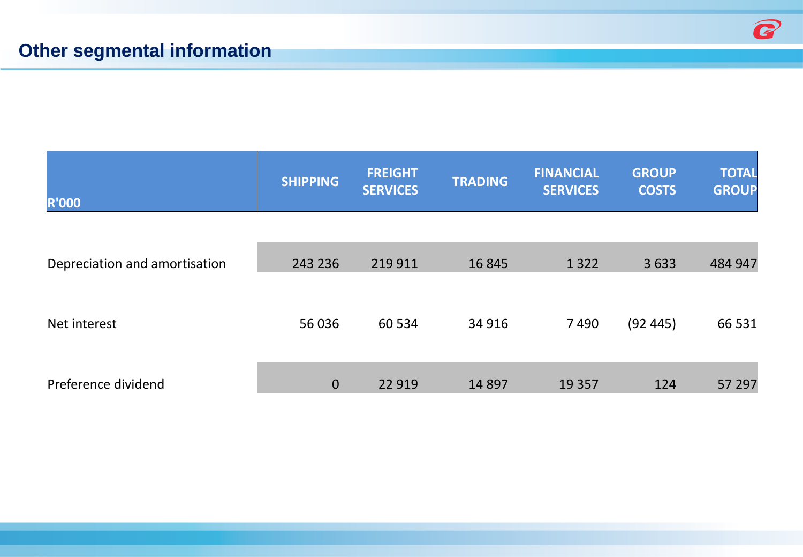| <b>R'000</b>                  | <b>SHIPPING</b> | <b>FREIGHT</b><br><b>SERVICES</b> | <b>TRADING</b> | <b>FINANCIAL</b><br><b>SERVICES</b> | <b>GROUP</b><br><b>COSTS</b> | <b>TOTAL</b><br><b>GROUP</b> |
|-------------------------------|-----------------|-----------------------------------|----------------|-------------------------------------|------------------------------|------------------------------|
|                               |                 |                                   |                |                                     |                              |                              |
| Depreciation and amortisation | 243 236         | 219 911                           | 16 8 45        | 1 3 2 2                             | 3633                         | 484 947                      |
| Net interest                  | 56 036          | 60 534                            | 34 916         | 7490                                | (92445)                      | 66 531                       |
| Preference dividend           | $\mathbf{0}$    | 22 9 19                           | 14 8 97        | 19 3 5 7                            | 124                          | 57 297                       |

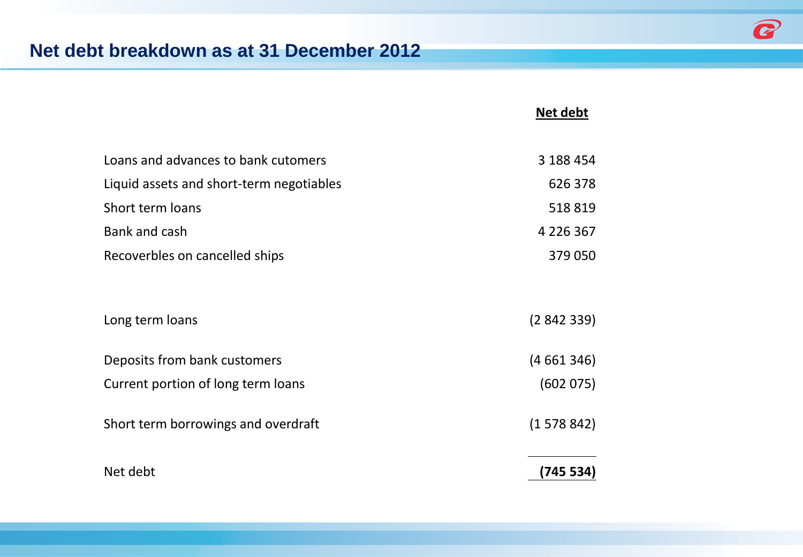

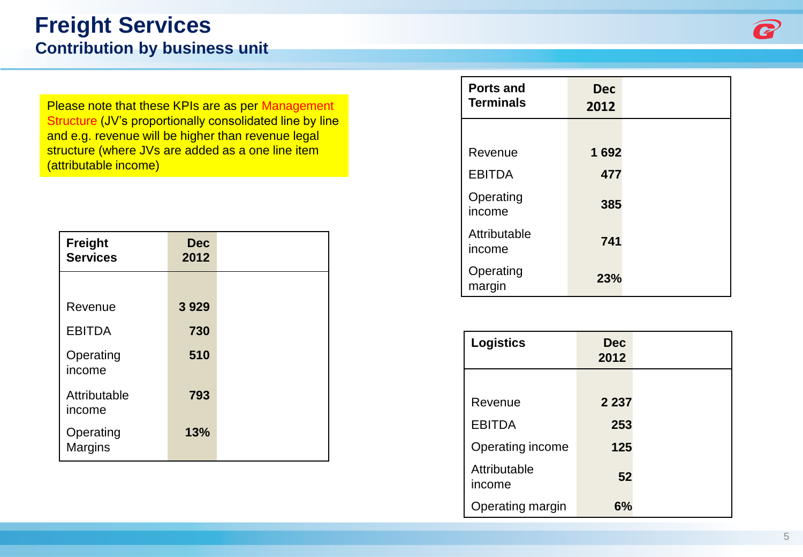# **Freight Services**

**Contribution by business unit**

Please note that these KPIs are as per Management Structure (JV's proportionally consolidated line by line and e.g. revenue will be higher than revenue legal structure (where JVs are added as a one line item (attributable income)

| <b>Freight</b><br><b>Services</b> | Dec<br>2012 |  |
|-----------------------------------|-------------|--|
|                                   |             |  |
| Revenue                           | 3929        |  |
| <b>EBITDA</b>                     | 730         |  |
| Operating<br>income               | 510         |  |
| Attributable<br>income            | 793         |  |
| Operating<br><b>Margins</b>       | 13%         |  |

| <b>Ports and</b><br><b>Terminals</b> | <b>Dec</b><br>2012 |  |
|--------------------------------------|--------------------|--|
|                                      |                    |  |
| Revenue                              | 1692               |  |
| <b>EBITDA</b>                        | 477                |  |
| Operating<br>income                  | 385                |  |
| Attributable<br>income               | 741                |  |
| Operating<br>margin                  | 23%                |  |

| <b>Logistics</b>       | <b>Dec</b><br>2012 |  |
|------------------------|--------------------|--|
|                        |                    |  |
| Revenue                | 2 2 3 7            |  |
| <b>EBITDA</b>          | 253                |  |
| Operating income       | 125                |  |
| Attributable<br>income | 52                 |  |
| Operating margin       | 6%                 |  |

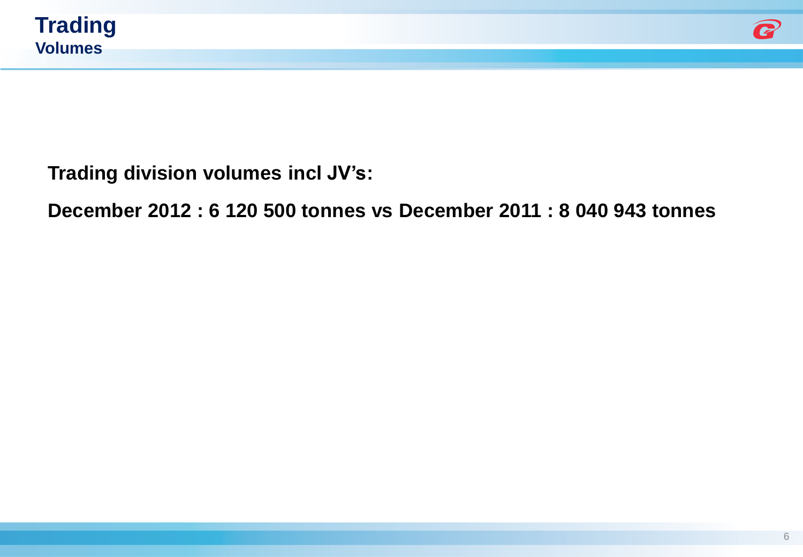



**Trading division volumes incl JV's:** 

**December 2012 : 6 120 500 tonnes vs December 2011 : 8 040 943 tonnes**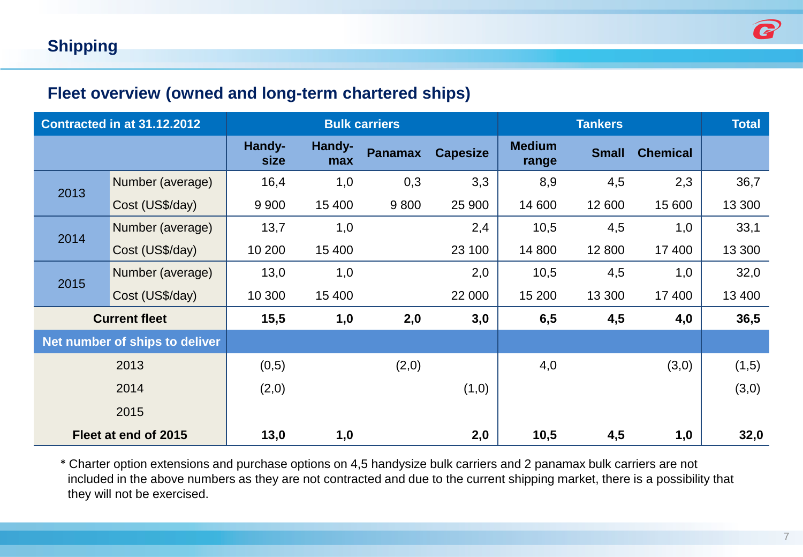#### **Fleet overview (owned and long-term chartered ships)**

| <b>Contracted in at 31.12.2012</b> |                                | <b>Bulk carriers</b> |               |                |                 |                        | <b>Total</b> |                 |        |
|------------------------------------|--------------------------------|----------------------|---------------|----------------|-----------------|------------------------|--------------|-----------------|--------|
|                                    |                                | Handy-<br>size       | Handy-<br>max | <b>Panamax</b> | <b>Capesize</b> | <b>Medium</b><br>range | <b>Small</b> | <b>Chemical</b> |        |
| 2013                               | Number (average)               | 16,4                 | 1,0           | 0,3            | 3,3             | 8,9                    | 4,5          | 2,3             | 36,7   |
|                                    | Cost (US\$/day)                | 9 9 0 0              | 15 400        | 9800           | 25 900          | 14 600                 | 12 600       | 15 600          | 13 300 |
| 2014                               | Number (average)               | 13,7                 | 1,0           |                | 2,4             | 10,5                   | 4,5          | 1,0             | 33,1   |
|                                    | Cost (US\$/day)                | 10 200               | 15 400        |                | 23 100          | 14 800                 | 12 800       | 17 400          | 13 300 |
|                                    | Number (average)               | 13,0                 | 1,0           |                | 2,0             | 10,5                   | 4,5          | 1,0             | 32,0   |
| 2015                               | Cost (US\$/day)                | 10 300               | 15 400        |                | 22 000          | 15 200                 | 13 300       | 17 400          | 13 400 |
| <b>Current fleet</b>               |                                | 15,5                 | 1,0           | 2,0            | 3,0             | 6,5                    | 4,5          | 4,0             | 36,5   |
|                                    | Net number of ships to deliver |                      |               |                |                 |                        |              |                 |        |
|                                    | 2013                           | (0,5)                |               | (2,0)          |                 | 4,0                    |              | (3,0)           | (1,5)  |
|                                    | 2014                           | (2,0)                |               |                | (1,0)           |                        |              |                 | (3,0)  |
|                                    | 2015                           |                      |               |                |                 |                        |              |                 |        |
|                                    | Fleet at end of 2015           | 13,0                 | 1,0           |                | 2,0             | 10,5                   | 4,5          | 1,0             | 32,0   |

\* Charter option extensions and purchase options on 4,5 handysize bulk carriers and 2 panamax bulk carriers are not included in the above numbers as they are not contracted and due to the current shipping market, there is a possibility that they will not be exercised.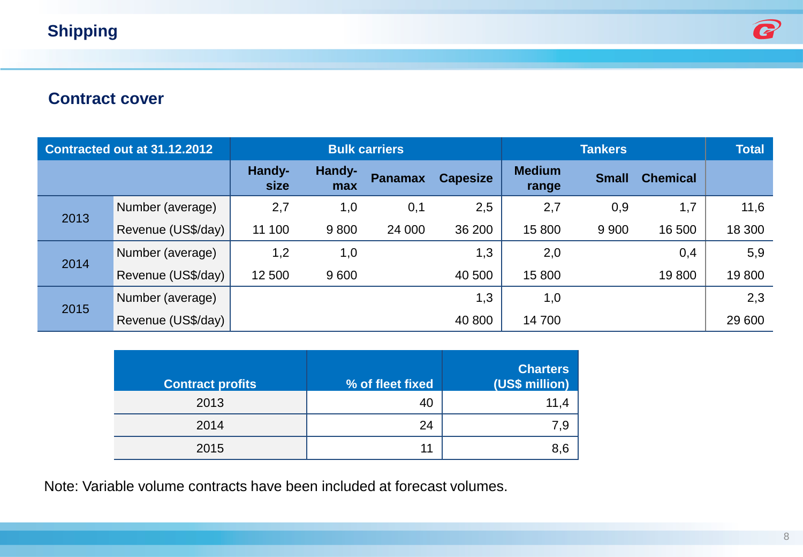#### **Shipping**



#### **Contract cover**

|      | Contracted out at 31.12.2012 | <b>Bulk carriers</b> |               |                |                 | <b>Total</b>           |              |                 |        |
|------|------------------------------|----------------------|---------------|----------------|-----------------|------------------------|--------------|-----------------|--------|
|      |                              | Handy-<br>size       | Handy-<br>max | <b>Panamax</b> | <b>Capesize</b> | <b>Medium</b><br>range | <b>Small</b> | <b>Chemical</b> |        |
| 2013 | Number (average)             | 2,7                  | 1,0           | 0,1            | 2,5             | 2,7                    | 0,9          | 1,7             | 11,6   |
|      | Revenue (US\$/day)           | 11 100               | 9800          | 24 000         | 36 200          | 15 800                 | 9 9 0 0      | 16 500          | 18 300 |
| 2014 | Number (average)             | 1,2                  | 1,0           |                | 1,3             | 2,0                    |              | 0,4             | 5,9    |
|      | Revenue (US\$/day)           | 12 500               | 9600          |                | 40 500          | 15800                  |              | 19800           | 19800  |
|      | Number (average)             |                      |               |                | 1,3             | 1,0                    |              |                 | 2,3    |
| 2015 | Revenue (US\$/day)           |                      |               |                | 40 800          | 14700                  |              |                 | 29 600 |

| <b>Contract profits</b> | % of fleet fixed | <b>Charters</b><br>(US\$ million) |
|-------------------------|------------------|-----------------------------------|
| 2013                    | 40               | 11,4                              |
| 2014                    | 24               | 7,9                               |
| 2015                    | 11               | 8,6                               |

Note: Variable volume contracts have been included at forecast volumes.